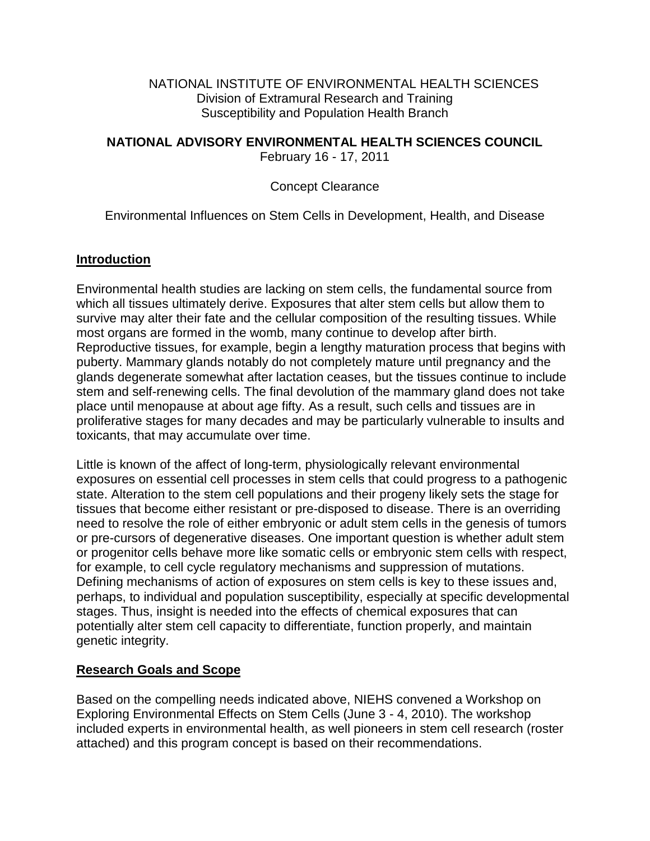#### NATIONAL INSTITUTE OF ENVIRONMENTAL HEALTH SCIENCES Division of Extramural Research and Training Susceptibility and Population Health Branch

### **NATIONAL ADVISORY ENVIRONMENTAL HEALTH SCIENCES COUNCIL**

February 16 - 17, 2011

## Concept Clearance

## Environmental Influences on Stem Cells in Development, Health, and Disease

### **Introduction**

Environmental health studies are lacking on stem cells, the fundamental source from which all tissues ultimately derive. Exposures that alter stem cells but allow them to survive may alter their fate and the cellular composition of the resulting tissues. While most organs are formed in the womb, many continue to develop after birth. Reproductive tissues, for example, begin a lengthy maturation process that begins with puberty. Mammary glands notably do not completely mature until pregnancy and the glands degenerate somewhat after lactation ceases, but the tissues continue to include stem and self-renewing cells. The final devolution of the mammary gland does not take place until menopause at about age fifty. As a result, such cells and tissues are in proliferative stages for many decades and may be particularly vulnerable to insults and toxicants, that may accumulate over time.

Little is known of the affect of long-term, physiologically relevant environmental exposures on essential cell processes in stem cells that could progress to a pathogenic state. Alteration to the stem cell populations and their progeny likely sets the stage for tissues that become either resistant or pre-disposed to disease. There is an overriding need to resolve the role of either embryonic or adult stem cells in the genesis of tumors or pre-cursors of degenerative diseases. One important question is whether adult stem or progenitor cells behave more like somatic cells or embryonic stem cells with respect, for example, to cell cycle regulatory mechanisms and suppression of mutations. Defining mechanisms of action of exposures on stem cells is key to these issues and, perhaps, to individual and population susceptibility, especially at specific developmental stages. Thus, insight is needed into the effects of chemical exposures that can potentially alter stem cell capacity to differentiate, function properly, and maintain genetic integrity.

### **Research Goals and Scope**

Based on the compelling needs indicated above, NIEHS convened a Workshop on Exploring Environmental Effects on Stem Cells (June 3 - 4, 2010). The workshop included experts in environmental health, as well pioneers in stem cell research (roster attached) and this program concept is based on their recommendations.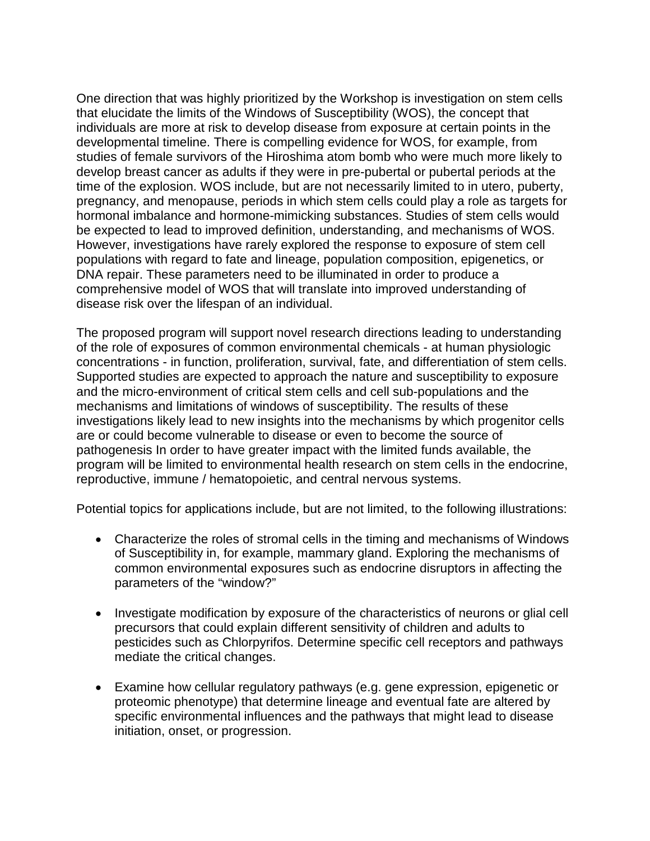One direction that was highly prioritized by the Workshop is investigation on stem cells that elucidate the limits of the Windows of Susceptibility (WOS), the concept that individuals are more at risk to develop disease from exposure at certain points in the developmental timeline. There is compelling evidence for WOS, for example, from studies of female survivors of the Hiroshima atom bomb who were much more likely to develop breast cancer as adults if they were in pre-pubertal or pubertal periods at the time of the explosion. WOS include, but are not necessarily limited to in utero, puberty, pregnancy, and menopause, periods in which stem cells could play a role as targets for hormonal imbalance and hormone-mimicking substances. Studies of stem cells would be expected to lead to improved definition, understanding, and mechanisms of WOS. However, investigations have rarely explored the response to exposure of stem cell populations with regard to fate and lineage, population composition, epigenetics, or DNA repair. These parameters need to be illuminated in order to produce a comprehensive model of WOS that will translate into improved understanding of disease risk over the lifespan of an individual.

The proposed program will support novel research directions leading to understanding of the role of exposures of common environmental chemicals - at human physiologic concentrations - in function, proliferation, survival, fate, and differentiation of stem cells. Supported studies are expected to approach the nature and susceptibility to exposure and the micro-environment of critical stem cells and cell sub-populations and the mechanisms and limitations of windows of susceptibility. The results of these investigations likely lead to new insights into the mechanisms by which progenitor cells are or could become vulnerable to disease or even to become the source of pathogenesis In order to have greater impact with the limited funds available, the program will be limited to environmental health research on stem cells in the endocrine, reproductive, immune / hematopoietic, and central nervous systems.

Potential topics for applications include, but are not limited, to the following illustrations:

- Characterize the roles of stromal cells in the timing and mechanisms of Windows of Susceptibility in, for example, mammary gland. Exploring the mechanisms of common environmental exposures such as endocrine disruptors in affecting the parameters of the "window?"
- Investigate modification by exposure of the characteristics of neurons or glial cell precursors that could explain different sensitivity of children and adults to pesticides such as Chlorpyrifos. Determine specific cell receptors and pathways mediate the critical changes.
- Examine how cellular regulatory pathways (e.g. gene expression, epigenetic or proteomic phenotype) that determine lineage and eventual fate are altered by specific environmental influences and the pathways that might lead to disease initiation, onset, or progression.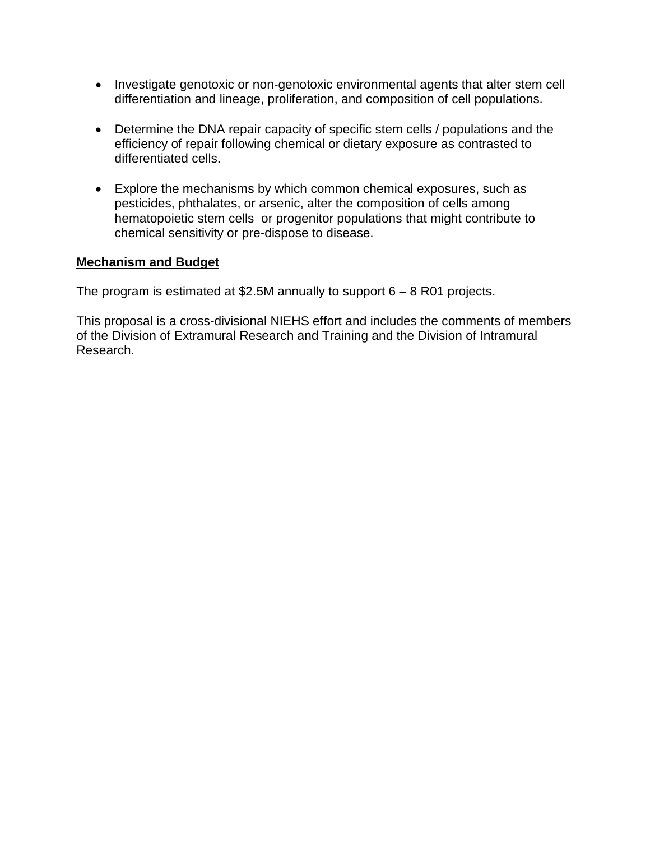- Investigate genotoxic or non-genotoxic environmental agents that alter stem cell differentiation and lineage, proliferation, and composition of cell populations.
- Determine the DNA repair capacity of specific stem cells / populations and the efficiency of repair following chemical or dietary exposure as contrasted to differentiated cells.
- Explore the mechanisms by which common chemical exposures, such as pesticides, phthalates, or arsenic, alter the composition of cells among hematopoietic stem cells or progenitor populations that might contribute to chemical sensitivity or pre-dispose to disease.

### **Mechanism and Budget**

The program is estimated at \$2.5M annually to support 6 – 8 R01 projects.

This proposal is a cross-divisional NIEHS effort and includes the comments of members of the Division of Extramural Research and Training and the Division of Intramural Research.